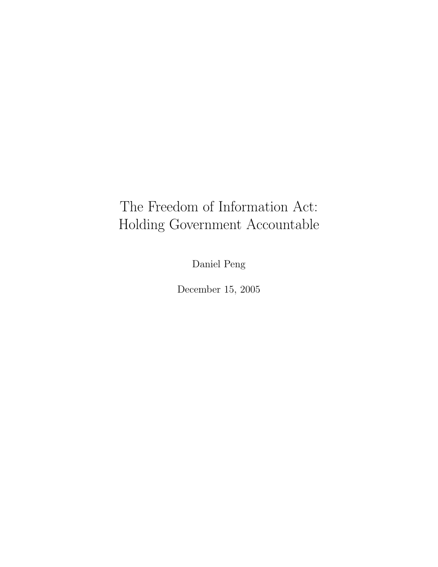## The Freedom of Information Act: Holding Government Accountable

Daniel Peng

December 15, 2005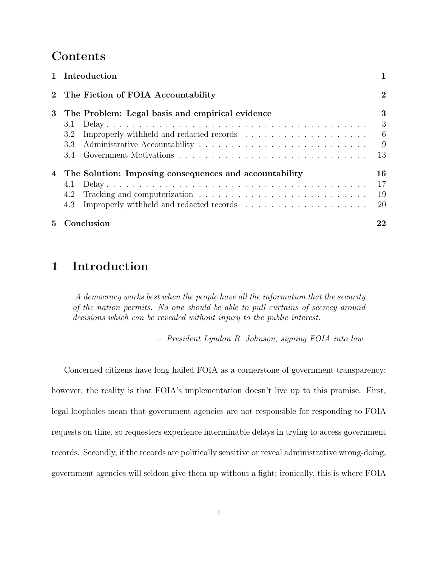## Contents

| 1 Introduction                                                         |                               |
|------------------------------------------------------------------------|-------------------------------|
| 2 The Fiction of FOIA Accountability                                   | $\overline{2}$                |
| 3 The Problem: Legal basis and empirical evidence<br>3.1<br>3.2<br>3.3 | 3<br>- 3<br>$-6$<br>- 9<br>13 |
| 4 The Solution: Imposing consequences and accountability<br>4.2        | 16<br>17<br>19<br>-20         |
| 5 Conclusion                                                           | 22                            |

## 1 Introduction

A democracy works best when the people have all the information that the security of the nation permits. No one should be able to pull curtains of secrecy around decisions which can be revealed without injury to the public interest.

— President Lyndon B. Johnson, signing FOIA into law.

Concerned citizens have long hailed FOIA as a cornerstone of government transparency; however, the reality is that FOIA's implementation doesn't live up to this promise. First, legal loopholes mean that government agencies are not responsible for responding to FOIA requests on time, so requesters experience interminable delays in trying to access government records. Secondly, if the records are politically sensitive or reveal administrative wrong-doing, government agencies will seldom give them up without a fight; ironically, this is where FOIA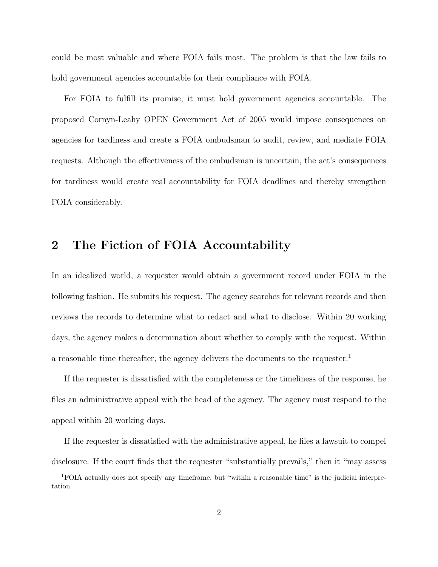could be most valuable and where FOIA fails most. The problem is that the law fails to hold government agencies accountable for their compliance with FOIA.

For FOIA to fulfill its promise, it must hold government agencies accountable. The proposed Cornyn-Leahy OPEN Government Act of 2005 would impose consequences on agencies for tardiness and create a FOIA ombudsman to audit, review, and mediate FOIA requests. Although the effectiveness of the ombudsman is uncertain, the act's consequences for tardiness would create real accountability for FOIA deadlines and thereby strengthen FOIA considerably.

## 2 The Fiction of FOIA Accountability

In an idealized world, a requester would obtain a government record under FOIA in the following fashion. He submits his request. The agency searches for relevant records and then reviews the records to determine what to redact and what to disclose. Within 20 working days, the agency makes a determination about whether to comply with the request. Within a reasonable time thereafter, the agency delivers the documents to the requester.<sup>1</sup>

If the requester is dissatisfied with the completeness or the timeliness of the response, he files an administrative appeal with the head of the agency. The agency must respond to the appeal within 20 working days.

If the requester is dissatisfied with the administrative appeal, he files a lawsuit to compel disclosure. If the court finds that the requester "substantially prevails," then it "may assess

<sup>1</sup>FOIA actually does not specify any timeframe, but "within a reasonable time" is the judicial interpretation.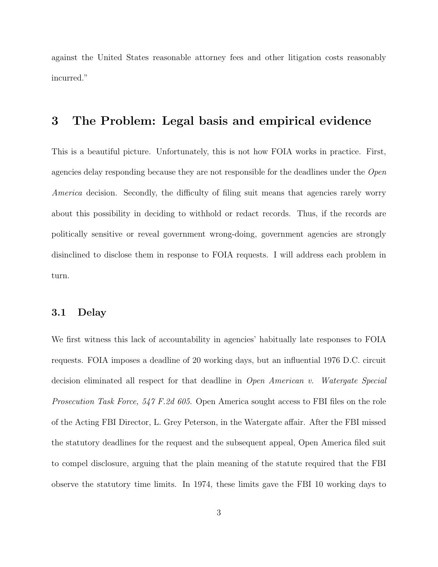against the United States reasonable attorney fees and other litigation costs reasonably incurred."

### 3 The Problem: Legal basis and empirical evidence

This is a beautiful picture. Unfortunately, this is not how FOIA works in practice. First, agencies delay responding because they are not responsible for the deadlines under the Open America decision. Secondly, the difficulty of filing suit means that agencies rarely worry about this possibility in deciding to withhold or redact records. Thus, if the records are politically sensitive or reveal government wrong-doing, government agencies are strongly disinclined to disclose them in response to FOIA requests. I will address each problem in turn.

#### 3.1 Delay

We first witness this lack of accountability in agencies' habitually late responses to FOIA requests. FOIA imposes a deadline of 20 working days, but an influential 1976 D.C. circuit decision eliminated all respect for that deadline in Open American v. Watergate Special Prosecution Task Force, 547 F.2d 605. Open America sought access to FBI files on the role of the Acting FBI Director, L. Grey Peterson, in the Watergate affair. After the FBI missed the statutory deadlines for the request and the subsequent appeal, Open America filed suit to compel disclosure, arguing that the plain meaning of the statute required that the FBI observe the statutory time limits. In 1974, these limits gave the FBI 10 working days to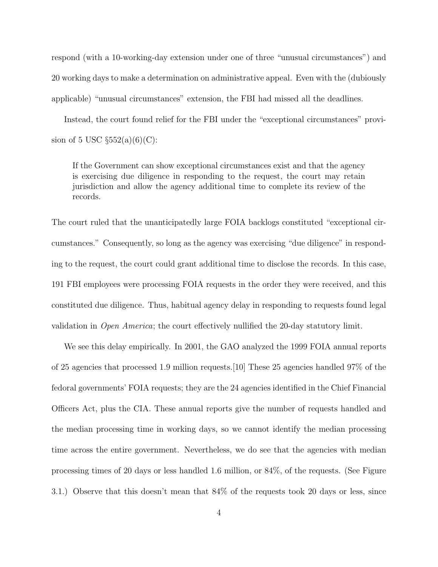respond (with a 10-working-day extension under one of three "unusual circumstances") and 20 working days to make a determination on administrative appeal. Even with the (dubiously applicable) "unusual circumstances" extension, the FBI had missed all the deadlines.

Instead, the court found relief for the FBI under the "exceptional circumstances" provision of 5 USC  $\S 552(a)(6)(C)$ :

If the Government can show exceptional circumstances exist and that the agency is exercising due diligence in responding to the request, the court may retain jurisdiction and allow the agency additional time to complete its review of the records.

The court ruled that the unanticipatedly large FOIA backlogs constituted "exceptional circumstances." Consequently, so long as the agency was exercising "due diligence" in responding to the request, the court could grant additional time to disclose the records. In this case, 191 FBI employees were processing FOIA requests in the order they were received, and this constituted due diligence. Thus, habitual agency delay in responding to requests found legal validation in Open America; the court effectively nullified the 20-day statutory limit.

We see this delay empirically. In 2001, the GAO analyzed the 1999 FOIA annual reports of 25 agencies that processed 1.9 million requests.[10] These 25 agencies handled 97% of the fedoral governments' FOIA requests; they are the 24 agencies identified in the Chief Financial Officers Act, plus the CIA. These annual reports give the number of requests handled and the median processing time in working days, so we cannot identify the median processing time across the entire government. Nevertheless, we do see that the agencies with median processing times of 20 days or less handled 1.6 million, or 84%, of the requests. (See Figure 3.1.) Observe that this doesn't mean that 84% of the requests took 20 days or less, since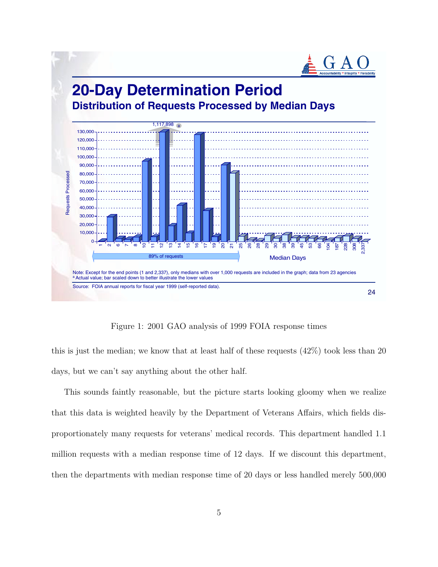

Figure 1: 2001 GAO analysis of 1999 FOIA response times

this is just the median; we know that at least half of these requests (42%) took less than 20 days, but we can't say anything about the other half.

This sounds faintly reasonable, but the picture starts looking gloomy when we realize that this data is weighted heavily by the Department of Veterans Affairs, which fields disproportionately many requests for veterans' medical records. This department handled 1.1 million requests with a median response time of 12 days. If we discount this department, then the departments with median response time of 20 days or less handled merely 500,000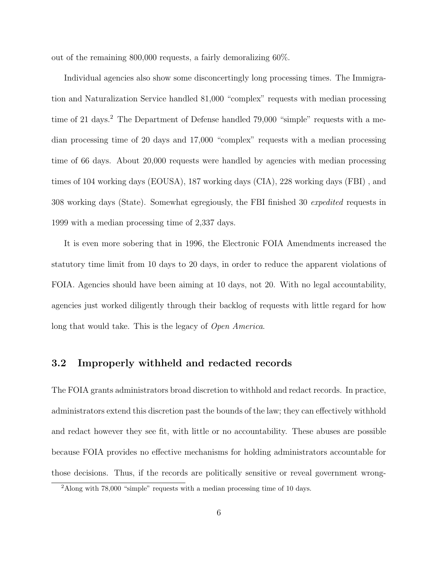out of the remaining 800,000 requests, a fairly demoralizing 60%.

Individual agencies also show some disconcertingly long processing times. The Immigration and Naturalization Service handled 81,000 "complex" requests with median processing time of 21 days.<sup>2</sup> The Department of Defense handled 79,000 "simple" requests with a median processing time of 20 days and 17,000 "complex" requests with a median processing time of 66 days. About 20,000 requests were handled by agencies with median processing times of 104 working days (EOUSA), 187 working days (CIA), 228 working days (FBI) , and 308 working days (State). Somewhat egregiously, the FBI finished 30 expedited requests in 1999 with a median processing time of 2,337 days.

It is even more sobering that in 1996, the Electronic FOIA Amendments increased the statutory time limit from 10 days to 20 days, in order to reduce the apparent violations of FOIA. Agencies should have been aiming at 10 days, not 20. With no legal accountability, agencies just worked diligently through their backlog of requests with little regard for how long that would take. This is the legacy of *Open America*.

#### 3.2 Improperly withheld and redacted records

The FOIA grants administrators broad discretion to withhold and redact records. In practice, administrators extend this discretion past the bounds of the law; they can effectively withhold and redact however they see fit, with little or no accountability. These abuses are possible because FOIA provides no effective mechanisms for holding administrators accountable for those decisions. Thus, if the records are politically sensitive or reveal government wrong-

<sup>&</sup>lt;sup>2</sup>Along with 78,000 "simple" requests with a median processing time of 10 days.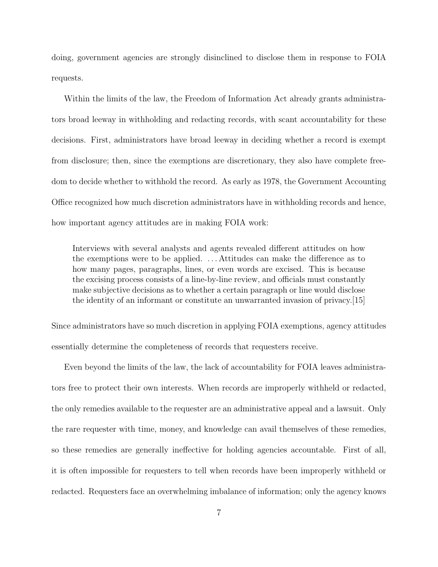doing, government agencies are strongly disinclined to disclose them in response to FOIA requests.

Within the limits of the law, the Freedom of Information Act already grants administrators broad leeway in withholding and redacting records, with scant accountability for these decisions. First, administrators have broad leeway in deciding whether a record is exempt from disclosure; then, since the exemptions are discretionary, they also have complete freedom to decide whether to withhold the record. As early as 1978, the Government Accounting Office recognized how much discretion administrators have in withholding records and hence, how important agency attitudes are in making FOIA work:

Interviews with several analysts and agents revealed different attitudes on how the exemptions were to be applied. . . . Attitudes can make the difference as to how many pages, paragraphs, lines, or even words are excised. This is because the excising process consists of a line-by-line review, and officials must constantly make subjective decisions as to whether a certain paragraph or line would disclose the identity of an informant or constitute an unwarranted invasion of privacy.[15]

Since administrators have so much discretion in applying FOIA exemptions, agency attitudes essentially determine the completeness of records that requesters receive.

Even beyond the limits of the law, the lack of accountability for FOIA leaves administrators free to protect their own interests. When records are improperly withheld or redacted, the only remedies available to the requester are an administrative appeal and a lawsuit. Only the rare requester with time, money, and knowledge can avail themselves of these remedies, so these remedies are generally ineffective for holding agencies accountable. First of all, it is often impossible for requesters to tell when records have been improperly withheld or redacted. Requesters face an overwhelming imbalance of information; only the agency knows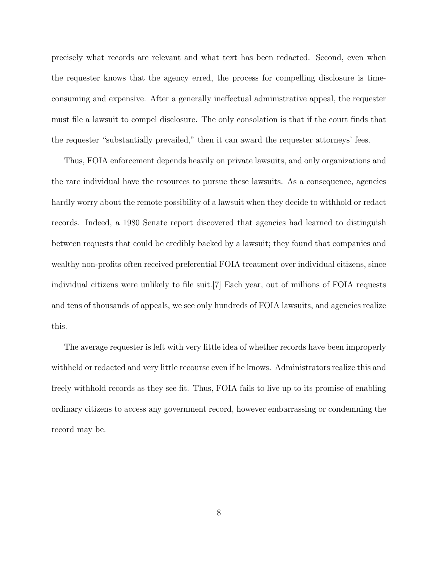precisely what records are relevant and what text has been redacted. Second, even when the requester knows that the agency erred, the process for compelling disclosure is timeconsuming and expensive. After a generally ineffectual administrative appeal, the requester must file a lawsuit to compel disclosure. The only consolation is that if the court finds that the requester "substantially prevailed," then it can award the requester attorneys' fees.

Thus, FOIA enforcement depends heavily on private lawsuits, and only organizations and the rare individual have the resources to pursue these lawsuits. As a consequence, agencies hardly worry about the remote possibility of a lawsuit when they decide to withhold or redact records. Indeed, a 1980 Senate report discovered that agencies had learned to distinguish between requests that could be credibly backed by a lawsuit; they found that companies and wealthy non-profits often received preferential FOIA treatment over individual citizens, since individual citizens were unlikely to file suit.[7] Each year, out of millions of FOIA requests and tens of thousands of appeals, we see only hundreds of FOIA lawsuits, and agencies realize this.

The average requester is left with very little idea of whether records have been improperly withheld or redacted and very little recourse even if he knows. Administrators realize this and freely withhold records as they see fit. Thus, FOIA fails to live up to its promise of enabling ordinary citizens to access any government record, however embarrassing or condemning the record may be.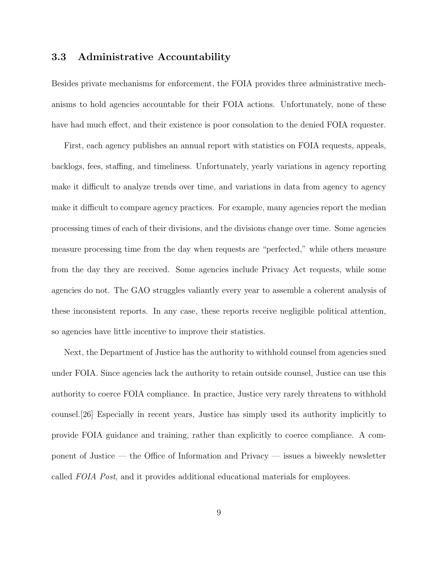#### 3.3 Administrative Accountability

Besides private mechanisms for enforcement, the FOIA provides three administrative mechanisms to hold agencies accountable for their FOIA actions. Unfortunately, none of these have had much effect, and their existence is poor consolation to the denied FOIA requester.

First, each agency publishes an annual report with statistics on FOIA requests, appeals, backlogs, fees, staffing, and timeliness. Unfortunately, yearly variations in agency reporting make it difficult to analyze trends over time, and variations in data from agency to agency make it difficult to compare agency practices. For example, many agencies report the median processing times of each of their divisions, and the divisions change over time. Some agencies measure processing time from the day when requests are "perfected," while others measure from the day they are received. Some agencies include Privacy Act requests, while some agencies do not. The GAO struggles valiantly every year to assemble a coherent analysis of these inconsistent reports. In any case, these reports receive negligible political attention, so agencies have little incentive to improve their statistics.

Next, the Department of Justice has the authority to withhold counsel from agencies sued under FOIA. Since agencies lack the authority to retain outside counsel, Justice can use this authority to coerce FOIA compliance. In practice, Justice very rarely threatens to withhold counsel.[26] Especially in recent years, Justice has simply used its authority implicitly to provide FOIA guidance and training, rather than explicitly to coerce compliance. A component of Justice — the Office of Information and Privacy — issues a biweekly newsletter called FOIA Post, and it provides additional educational materials for employees.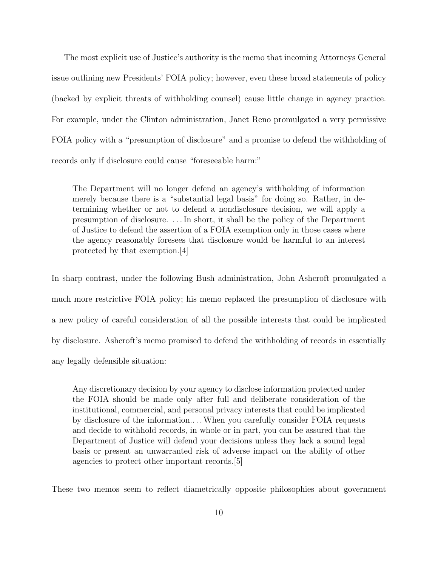The most explicit use of Justice's authority is the memo that incoming Attorneys General issue outlining new Presidents' FOIA policy; however, even these broad statements of policy (backed by explicit threats of withholding counsel) cause little change in agency practice. For example, under the Clinton administration, Janet Reno promulgated a very permissive FOIA policy with a "presumption of disclosure" and a promise to defend the withholding of records only if disclosure could cause "foreseeable harm:"

The Department will no longer defend an agency's withholding of information merely because there is a "substantial legal basis" for doing so. Rather, in determining whether or not to defend a nondisclosure decision, we will apply a presumption of disclosure. . . . In short, it shall be the policy of the Department of Justice to defend the assertion of a FOIA exemption only in those cases where the agency reasonably foresees that disclosure would be harmful to an interest protected by that exemption.[4]

In sharp contrast, under the following Bush administration, John Ashcroft promulgated a much more restrictive FOIA policy; his memo replaced the presumption of disclosure with a new policy of careful consideration of all the possible interests that could be implicated by disclosure. Ashcroft's memo promised to defend the withholding of records in essentially any legally defensible situation:

Any discretionary decision by your agency to disclose information protected under the FOIA should be made only after full and deliberate consideration of the institutional, commercial, and personal privacy interests that could be implicated by disclosure of the information.. . .When you carefully consider FOIA requests and decide to withhold records, in whole or in part, you can be assured that the Department of Justice will defend your decisions unless they lack a sound legal basis or present an unwarranted risk of adverse impact on the ability of other agencies to protect other important records.[5]

These two memos seem to reflect diametrically opposite philosophies about government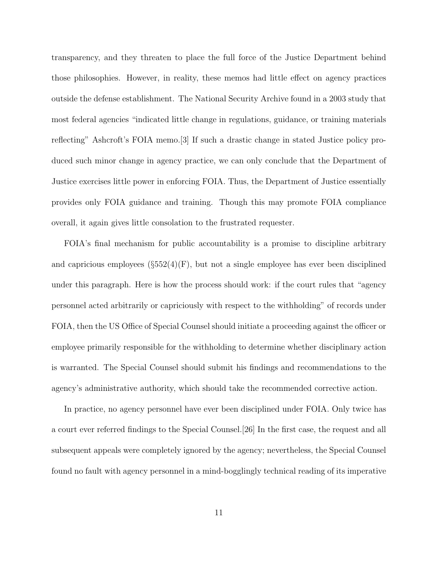transparency, and they threaten to place the full force of the Justice Department behind those philosophies. However, in reality, these memos had little effect on agency practices outside the defense establishment. The National Security Archive found in a 2003 study that most federal agencies "indicated little change in regulations, guidance, or training materials reflecting" Ashcroft's FOIA memo.[3] If such a drastic change in stated Justice policy produced such minor change in agency practice, we can only conclude that the Department of Justice exercises little power in enforcing FOIA. Thus, the Department of Justice essentially provides only FOIA guidance and training. Though this may promote FOIA compliance overall, it again gives little consolation to the frustrated requester.

FOIA's final mechanism for public accountability is a promise to discipline arbitrary and capricious employees  $(\S 552(4)(F))$ , but not a single employee has ever been disciplined under this paragraph. Here is how the process should work: if the court rules that "agency personnel acted arbitrarily or capriciously with respect to the withholding" of records under FOIA, then the US Office of Special Counsel should initiate a proceeding against the officer or employee primarily responsible for the withholding to determine whether disciplinary action is warranted. The Special Counsel should submit his findings and recommendations to the agency's administrative authority, which should take the recommended corrective action.

In practice, no agency personnel have ever been disciplined under FOIA. Only twice has a court ever referred findings to the Special Counsel.[26] In the first case, the request and all subsequent appeals were completely ignored by the agency; nevertheless, the Special Counsel found no fault with agency personnel in a mind-bogglingly technical reading of its imperative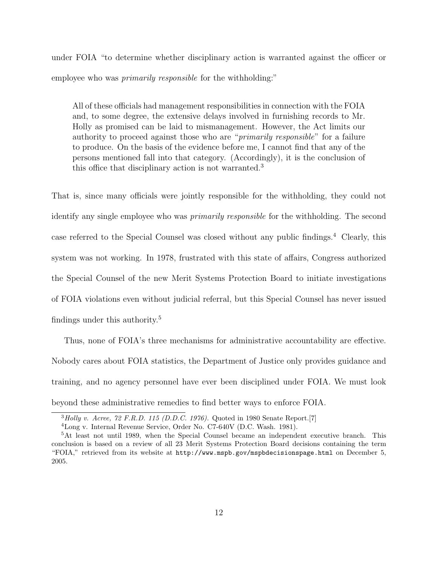under FOIA "to determine whether disciplinary action is warranted against the officer or employee who was *primarily responsible* for the withholding:"

All of these officials had management responsibilities in connection with the FOIA and, to some degree, the extensive delays involved in furnishing records to Mr. Holly as promised can be laid to mismanagement. However, the Act limits our authority to proceed against those who are "primarily responsible" for a failure to produce. On the basis of the evidence before me, I cannot find that any of the persons mentioned fall into that category. (Accordingly), it is the conclusion of this office that disciplinary action is not warranted.<sup>3</sup>

That is, since many officials were jointly responsible for the withholding, they could not identify any single employee who was primarily responsible for the withholding. The second case referred to the Special Counsel was closed without any public findings.<sup>4</sup> Clearly, this system was not working. In 1978, frustrated with this state of affairs, Congress authorized the Special Counsel of the new Merit Systems Protection Board to initiate investigations of FOIA violations even without judicial referral, but this Special Counsel has never issued findings under this authority.<sup>5</sup>

Thus, none of FOIA's three mechanisms for administrative accountability are effective. Nobody cares about FOIA statistics, the Department of Justice only provides guidance and training, and no agency personnel have ever been disciplined under FOIA. We must look beyond these administrative remedies to find better ways to enforce FOIA.

 $3$  Holly v. Acree, 72 F.R.D. 115 (D.D.C. 1976). Quoted in 1980 Senate Report.[7]

<sup>4</sup>Long v. Internal Revenue Service, Order No. C7-640V (D.C. Wash. 1981).

<sup>&</sup>lt;sup>5</sup>At least not until 1989, when the Special Counsel became an independent executive branch. This conclusion is based on a review of all 23 Merit Systems Protection Board decisions containing the term "FOIA," retrieved from its website at http://www.mspb.gov/mspbdecisionspage.html on December 5, 2005.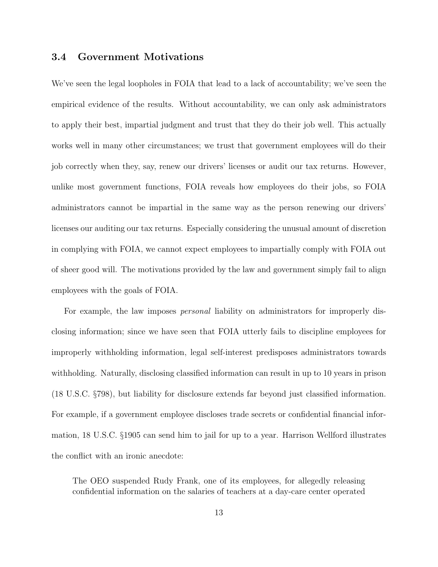#### 3.4 Government Motivations

We've seen the legal loopholes in FOIA that lead to a lack of accountability; we've seen the empirical evidence of the results. Without accountability, we can only ask administrators to apply their best, impartial judgment and trust that they do their job well. This actually works well in many other circumstances; we trust that government employees will do their job correctly when they, say, renew our drivers' licenses or audit our tax returns. However, unlike most government functions, FOIA reveals how employees do their jobs, so FOIA administrators cannot be impartial in the same way as the person renewing our drivers' licenses our auditing our tax returns. Especially considering the unusual amount of discretion in complying with FOIA, we cannot expect employees to impartially comply with FOIA out of sheer good will. The motivations provided by the law and government simply fail to align employees with the goals of FOIA.

For example, the law imposes *personal* liability on administrators for improperly disclosing information; since we have seen that FOIA utterly fails to discipline employees for improperly withholding information, legal self-interest predisposes administrators towards withholding. Naturally, disclosing classified information can result in up to 10 years in prison (18 U.S.C. §798), but liability for disclosure extends far beyond just classified information. For example, if a government employee discloses trade secrets or confidential financial information, 18 U.S.C. §1905 can send him to jail for up to a year. Harrison Wellford illustrates the conflict with an ironic anecdote:

The OEO suspended Rudy Frank, one of its employees, for allegedly releasing confidential information on the salaries of teachers at a day-care center operated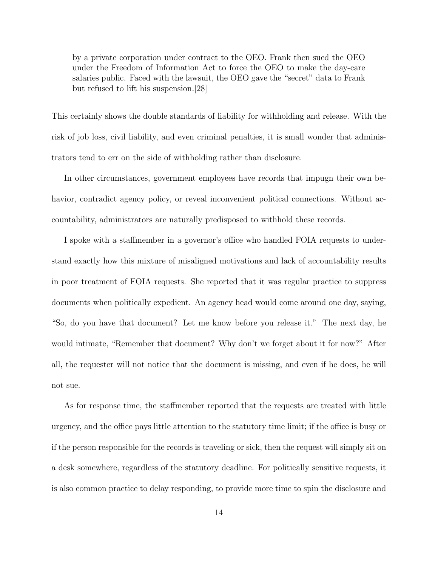by a private corporation under contract to the OEO. Frank then sued the OEO under the Freedom of Information Act to force the OEO to make the day-care salaries public. Faced with the lawsuit, the OEO gave the "secret" data to Frank but refused to lift his suspension.[28]

This certainly shows the double standards of liability for withholding and release. With the risk of job loss, civil liability, and even criminal penalties, it is small wonder that administrators tend to err on the side of withholding rather than disclosure.

In other circumstances, government employees have records that impugn their own behavior, contradict agency policy, or reveal inconvenient political connections. Without accountability, administrators are naturally predisposed to withhold these records.

I spoke with a staffmember in a governor's office who handled FOIA requests to understand exactly how this mixture of misaligned motivations and lack of accountability results in poor treatment of FOIA requests. She reported that it was regular practice to suppress documents when politically expedient. An agency head would come around one day, saying, "So, do you have that document? Let me know before you release it." The next day, he would intimate, "Remember that document? Why don't we forget about it for now?" After all, the requester will not notice that the document is missing, and even if he does, he will not sue.

As for response time, the staffmember reported that the requests are treated with little urgency, and the office pays little attention to the statutory time limit; if the office is busy or if the person responsible for the records is traveling or sick, then the request will simply sit on a desk somewhere, regardless of the statutory deadline. For politically sensitive requests, it is also common practice to delay responding, to provide more time to spin the disclosure and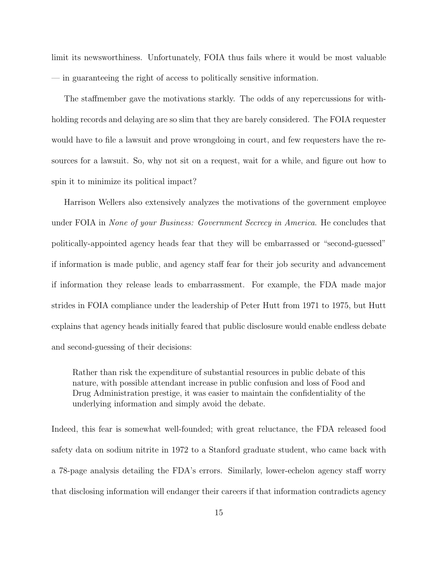limit its newsworthiness. Unfortunately, FOIA thus fails where it would be most valuable — in guaranteeing the right of access to politically sensitive information.

The staffmember gave the motivations starkly. The odds of any repercussions for withholding records and delaying are so slim that they are barely considered. The FOIA requester would have to file a lawsuit and prove wrongdoing in court, and few requesters have the resources for a lawsuit. So, why not sit on a request, wait for a while, and figure out how to spin it to minimize its political impact?

Harrison Wellers also extensively analyzes the motivations of the government employee under FOIA in None of your Business: Government Secrecy in America. He concludes that politically-appointed agency heads fear that they will be embarrassed or "second-guessed" if information is made public, and agency staff fear for their job security and advancement if information they release leads to embarrassment. For example, the FDA made major strides in FOIA compliance under the leadership of Peter Hutt from 1971 to 1975, but Hutt explains that agency heads initially feared that public disclosure would enable endless debate and second-guessing of their decisions:

Rather than risk the expenditure of substantial resources in public debate of this nature, with possible attendant increase in public confusion and loss of Food and Drug Administration prestige, it was easier to maintain the confidentiality of the underlying information and simply avoid the debate.

Indeed, this fear is somewhat well-founded; with great reluctance, the FDA released food safety data on sodium nitrite in 1972 to a Stanford graduate student, who came back with a 78-page analysis detailing the FDA's errors. Similarly, lower-echelon agency staff worry that disclosing information will endanger their careers if that information contradicts agency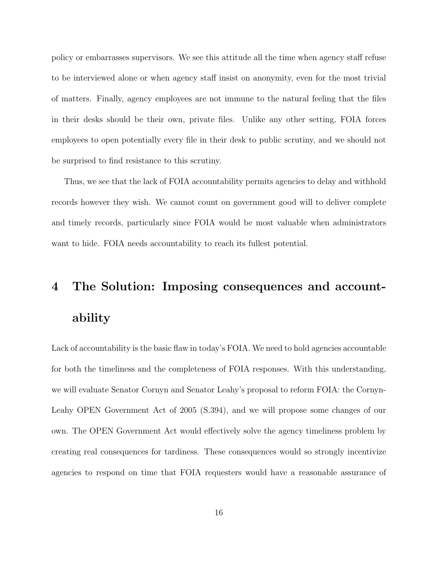policy or embarrasses supervisors. We see this attitude all the time when agency staff refuse to be interviewed alone or when agency staff insist on anonymity, even for the most trivial of matters. Finally, agency employees are not immune to the natural feeling that the files in their desks should be their own, private files. Unlike any other setting, FOIA forces employees to open potentially every file in their desk to public scrutiny, and we should not be surprised to find resistance to this scrutiny.

Thus, we see that the lack of FOIA accountability permits agencies to delay and withhold records however they wish. We cannot count on government good will to deliver complete and timely records, particularly since FOIA would be most valuable when administrators want to hide. FOIA needs accountability to reach its fullest potential.

# 4 The Solution: Imposing consequences and accountability

Lack of accountability is the basic flaw in today's FOIA. We need to hold agencies accountable for both the timeliness and the completeness of FOIA responses. With this understanding, we will evaluate Senator Cornyn and Senator Leahy's proposal to reform FOIA: the Cornyn-Leahy OPEN Government Act of 2005 (S.394), and we will propose some changes of our own. The OPEN Government Act would effectively solve the agency timeliness problem by creating real consequences for tardiness. These consequences would so strongly incentivize agencies to respond on time that FOIA requesters would have a reasonable assurance of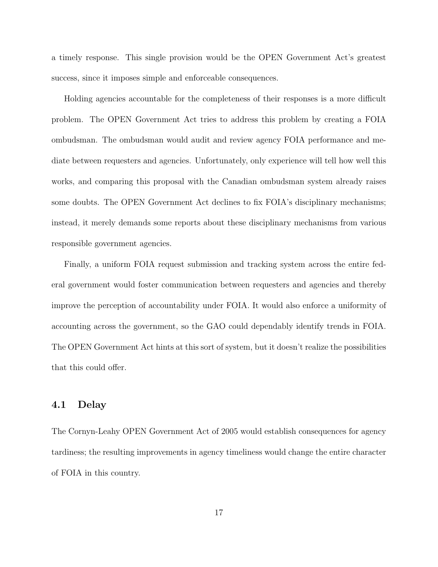a timely response. This single provision would be the OPEN Government Act's greatest success, since it imposes simple and enforceable consequences.

Holding agencies accountable for the completeness of their responses is a more difficult problem. The OPEN Government Act tries to address this problem by creating a FOIA ombudsman. The ombudsman would audit and review agency FOIA performance and mediate between requesters and agencies. Unfortunately, only experience will tell how well this works, and comparing this proposal with the Canadian ombudsman system already raises some doubts. The OPEN Government Act declines to fix FOIA's disciplinary mechanisms; instead, it merely demands some reports about these disciplinary mechanisms from various responsible government agencies.

Finally, a uniform FOIA request submission and tracking system across the entire federal government would foster communication between requesters and agencies and thereby improve the perception of accountability under FOIA. It would also enforce a uniformity of accounting across the government, so the GAO could dependably identify trends in FOIA. The OPEN Government Act hints at this sort of system, but it doesn't realize the possibilities that this could offer.

#### 4.1 Delay

The Cornyn-Leahy OPEN Government Act of 2005 would establish consequences for agency tardiness; the resulting improvements in agency timeliness would change the entire character of FOIA in this country.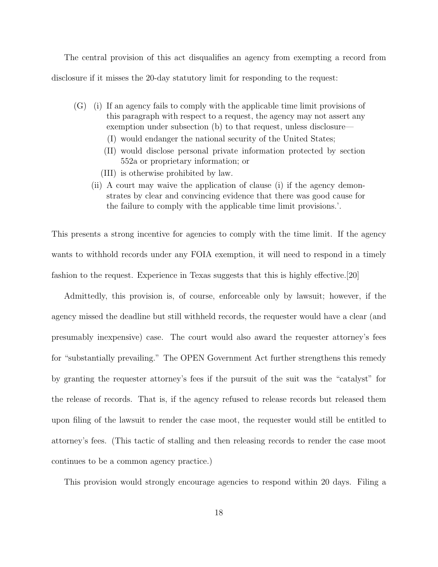The central provision of this act disqualifies an agency from exempting a record from disclosure if it misses the 20-day statutory limit for responding to the request:

- (G) (i) If an agency fails to comply with the applicable time limit provisions of this paragraph with respect to a request, the agency may not assert any exemption under subsection (b) to that request, unless disclosure—
	- (I) would endanger the national security of the United States;
	- (II) would disclose personal private information protected by section 552a or proprietary information; or
	- (III) is otherwise prohibited by law.
	- (ii) A court may waive the application of clause (i) if the agency demonstrates by clear and convincing evidence that there was good cause for the failure to comply with the applicable time limit provisions.'.

This presents a strong incentive for agencies to comply with the time limit. If the agency wants to withhold records under any FOIA exemption, it will need to respond in a timely fashion to the request. Experience in Texas suggests that this is highly effective.[20]

Admittedly, this provision is, of course, enforceable only by lawsuit; however, if the agency missed the deadline but still withheld records, the requester would have a clear (and presumably inexpensive) case. The court would also award the requester attorney's fees for "substantially prevailing." The OPEN Government Act further strengthens this remedy by granting the requester attorney's fees if the pursuit of the suit was the "catalyst" for the release of records. That is, if the agency refused to release records but released them upon filing of the lawsuit to render the case moot, the requester would still be entitled to attorney's fees. (This tactic of stalling and then releasing records to render the case moot continues to be a common agency practice.)

This provision would strongly encourage agencies to respond within 20 days. Filing a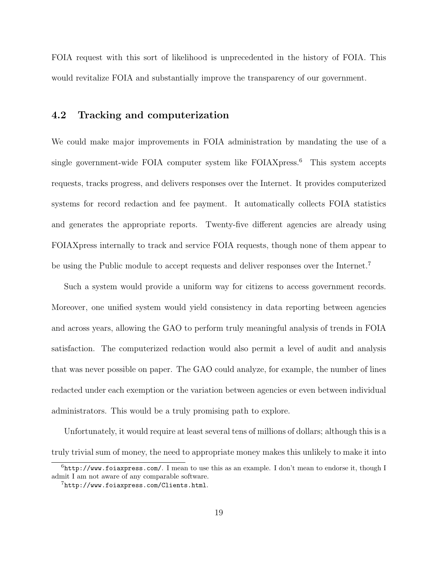FOIA request with this sort of likelihood is unprecedented in the history of FOIA. This would revitalize FOIA and substantially improve the transparency of our government.

#### 4.2 Tracking and computerization

We could make major improvements in FOIA administration by mandating the use of a single government-wide FOIA computer system like  $FOIAX$ press.<sup>6</sup> This system accepts requests, tracks progress, and delivers responses over the Internet. It provides computerized systems for record redaction and fee payment. It automatically collects FOIA statistics and generates the appropriate reports. Twenty-five different agencies are already using FOIAXpress internally to track and service FOIA requests, though none of them appear to be using the Public module to accept requests and deliver responses over the Internet.<sup>7</sup>

Such a system would provide a uniform way for citizens to access government records. Moreover, one unified system would yield consistency in data reporting between agencies and across years, allowing the GAO to perform truly meaningful analysis of trends in FOIA satisfaction. The computerized redaction would also permit a level of audit and analysis that was never possible on paper. The GAO could analyze, for example, the number of lines redacted under each exemption or the variation between agencies or even between individual administrators. This would be a truly promising path to explore.

Unfortunately, it would require at least several tens of millions of dollars; although this is a truly trivial sum of money, the need to appropriate money makes this unlikely to make it into

 $6$ http://www.foiaxpress.com/. I mean to use this as an example. I don't mean to endorse it, though I admit I am not aware of any comparable software.

<sup>7</sup>http://www.foiaxpress.com/Clients.html.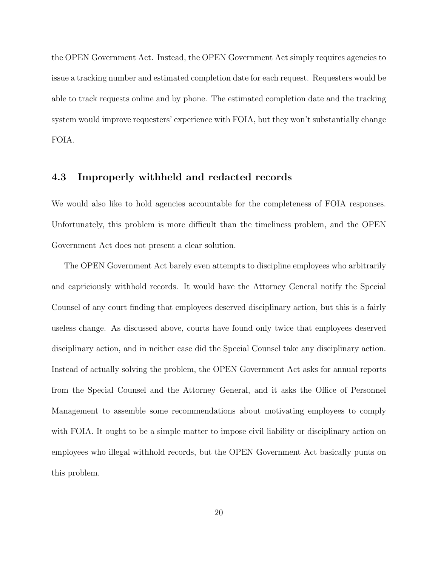the OPEN Government Act. Instead, the OPEN Government Act simply requires agencies to issue a tracking number and estimated completion date for each request. Requesters would be able to track requests online and by phone. The estimated completion date and the tracking system would improve requesters' experience with FOIA, but they won't substantially change FOIA.

#### 4.3 Improperly withheld and redacted records

We would also like to hold agencies accountable for the completeness of FOIA responses. Unfortunately, this problem is more difficult than the timeliness problem, and the OPEN Government Act does not present a clear solution.

The OPEN Government Act barely even attempts to discipline employees who arbitrarily and capriciously withhold records. It would have the Attorney General notify the Special Counsel of any court finding that employees deserved disciplinary action, but this is a fairly useless change. As discussed above, courts have found only twice that employees deserved disciplinary action, and in neither case did the Special Counsel take any disciplinary action. Instead of actually solving the problem, the OPEN Government Act asks for annual reports from the Special Counsel and the Attorney General, and it asks the Office of Personnel Management to assemble some recommendations about motivating employees to comply with FOIA. It ought to be a simple matter to impose civil liability or disciplinary action on employees who illegal withhold records, but the OPEN Government Act basically punts on this problem.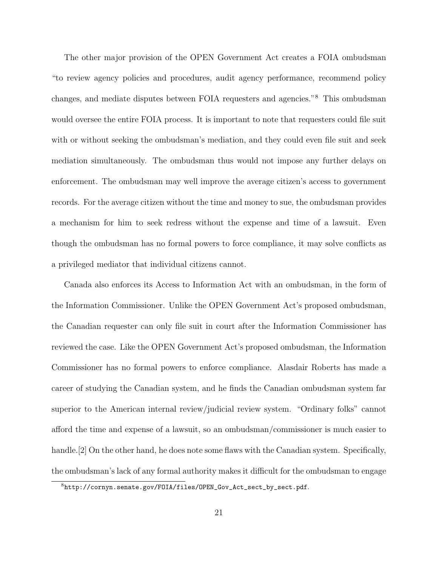The other major provision of the OPEN Government Act creates a FOIA ombudsman "to review agency policies and procedures, audit agency performance, recommend policy changes, and mediate disputes between FOIA requesters and agencies."<sup>8</sup> This ombudsman would oversee the entire FOIA process. It is important to note that requesters could file suit with or without seeking the ombudsman's mediation, and they could even file suit and seek mediation simultaneously. The ombudsman thus would not impose any further delays on enforcement. The ombudsman may well improve the average citizen's access to government records. For the average citizen without the time and money to sue, the ombudsman provides a mechanism for him to seek redress without the expense and time of a lawsuit. Even though the ombudsman has no formal powers to force compliance, it may solve conflicts as a privileged mediator that individual citizens cannot.

Canada also enforces its Access to Information Act with an ombudsman, in the form of the Information Commissioner. Unlike the OPEN Government Act's proposed ombudsman, the Canadian requester can only file suit in court after the Information Commissioner has reviewed the case. Like the OPEN Government Act's proposed ombudsman, the Information Commissioner has no formal powers to enforce compliance. Alasdair Roberts has made a career of studying the Canadian system, and he finds the Canadian ombudsman system far superior to the American internal review/judicial review system. "Ordinary folks" cannot afford the time and expense of a lawsuit, so an ombudsman/commissioner is much easier to handle.<sup>[2]</sup> On the other hand, he does note some flaws with the Canadian system. Specifically, the ombudsman's lack of any formal authority makes it difficult for the ombudsman to engage

<sup>8</sup>http://cornyn.senate.gov/FOIA/files/OPEN\_Gov\_Act\_sect\_by\_sect.pdf.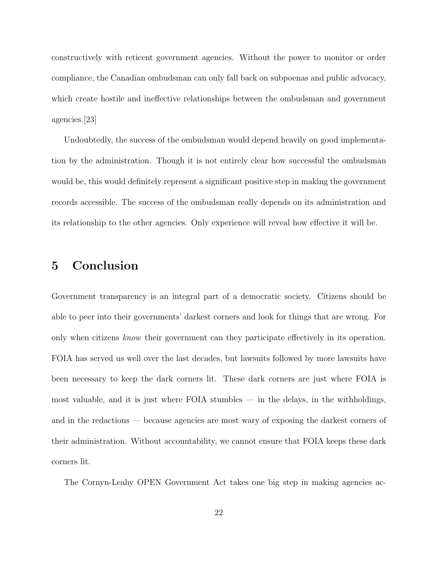constructively with reticent government agencies. Without the power to monitor or order compliance, the Canadian ombudsman can only fall back on subpoenas and public advocacy, which create hostile and ineffective relationships between the ombudsman and government agencies.[23]

Undoubtedly, the success of the ombudsman would depend heavily on good implementation by the administration. Though it is not entirely clear how successful the ombudsman would be, this would definitely represent a significant positive step in making the government records accessible. The success of the ombudsman really depends on its administration and its relationship to the other agencies. Only experience will reveal how effective it will be.

## 5 Conclusion

Government transparency is an integral part of a democratic society. Citizens should be able to peer into their governments' darkest corners and look for things that are wrong. For only when citizens know their government can they participate effectively in its operation. FOIA has served us well over the last decades, but lawsuits followed by more lawsuits have been necessary to keep the dark corners lit. These dark corners are just where FOIA is most valuable, and it is just where FOIA stumbles — in the delays, in the withholdings, and in the redactions — because agencies are most wary of exposing the darkest corners of their administration. Without accountability, we cannot ensure that FOIA keeps these dark corners lit.

The Cornyn-Leahy OPEN Government Act takes one big step in making agencies ac-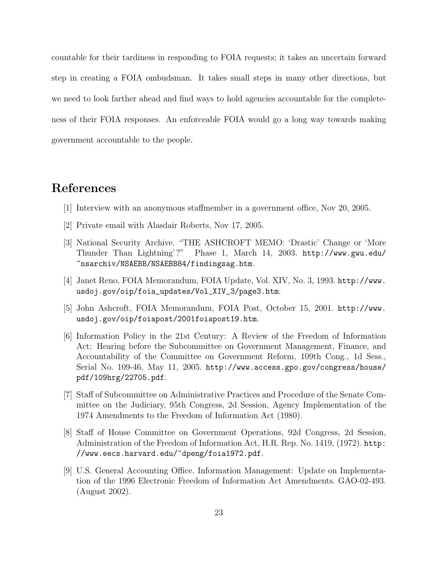countable for their tardiness in responding to FOIA requests; it takes an uncertain forward step in creating a FOIA ombudsman. It takes small steps in many other directions, but we need to look farther ahead and find ways to hold agencies accountable for the completeness of their FOIA responses. An enforceable FOIA would go a long way towards making government accountable to the people.

## References

- [1] Interview with an anonymous staffmember in a government office, Nov 20, 2005.
- [2] Private email with Alasdair Roberts, Nov 17, 2005.
- [3] National Security Archive. "THE ASHCROFT MEMO: 'Drastic' Change or 'More Thunder Than Lightning'?" Phase 1, March 14, 2003. http://www.gwu.edu/ ~nsarchiv/NSAEBB/NSAEBB84/findingsag.htm.
- [4] Janet Reno, FOIA Memorandum, FOIA Update, Vol. XIV, No. 3, 1993. http://www. usdoj.gov/oip/foia\_updates/Vol\_XIV\_3/page3.htm.
- [5] John Ashcroft, FOIA Memorandum, FOIA Post, October 15, 2001. http://www. usdoj.gov/oip/foiapost/2001foiapost19.htm.
- [6] Information Policy in the 21st Century: A Review of the Freedom of Information Act: Hearing before the Subcommittee on Government Management, Finance, and Accountability of the Committee on Government Reform, 109th Cong., 1d Sess., Serial No. 109-46, May 11, 2005. http://www.access.gpo.gov/congress/house/ pdf/109hrg/22705.pdf.
- [7] Staff of Subcommittee on Administrative Practices and Procedure of the Senate Committee on the Judiciary, 95th Congress, 2d Session, Agency Implementation of the 1974 Amendments to the Freedom of Information Act (1980).
- [8] Staff of House Committee on Government Operations, 92d Congress, 2d Session, Administration of the Freedom of Information Act, H.R. Rep. No. 1419, (1972). http: //www.eecs.harvard.edu/~dpeng/foia1972.pdf.
- [9] U.S. General Accounting Office. Information Management: Update on Implementation of the 1996 Electronic Freedom of Information Act Amendments. GAO-02-493. (August 2002).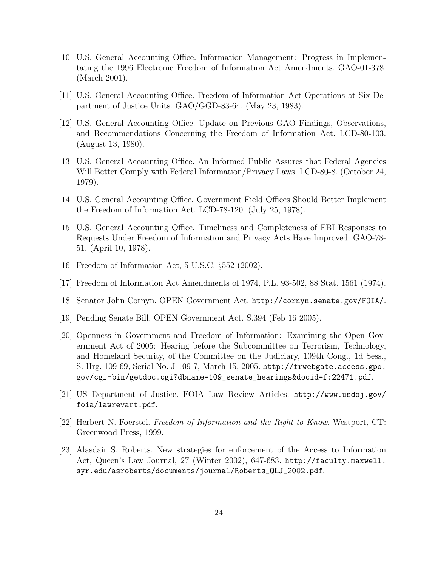- [10] U.S. General Accounting Office. Information Management: Progress in Implementating the 1996 Electronic Freedom of Information Act Amendments. GAO-01-378. (March 2001).
- [11] U.S. General Accounting Office. Freedom of Information Act Operations at Six Department of Justice Units. GAO/GGD-83-64. (May 23, 1983).
- [12] U.S. General Accounting Office. Update on Previous GAO Findings, Observations, and Recommendations Concerning the Freedom of Information Act. LCD-80-103. (August 13, 1980).
- [13] U.S. General Accounting Office. An Informed Public Assures that Federal Agencies Will Better Comply with Federal Information/Privacy Laws. LCD-80-8. (October 24, 1979).
- [14] U.S. General Accounting Office. Government Field Offices Should Better Implement the Freedom of Information Act. LCD-78-120. (July 25, 1978).
- [15] U.S. General Accounting Office. Timeliness and Completeness of FBI Responses to Requests Under Freedom of Information and Privacy Acts Have Improved. GAO-78- 51. (April 10, 1978).
- [16] Freedom of Information Act, 5 U.S.C. §552 (2002).
- [17] Freedom of Information Act Amendments of 1974, P.L. 93-502, 88 Stat. 1561 (1974).
- [18] Senator John Cornyn. OPEN Government Act. http://cornyn.senate.gov/FOIA/.
- [19] Pending Senate Bill. OPEN Government Act. S.394 (Feb 16 2005).
- [20] Openness in Government and Freedom of Information: Examining the Open Government Act of 2005: Hearing before the Subcommittee on Terrorism, Technology, and Homeland Security, of the Committee on the Judiciary, 109th Cong., 1d Sess., S. Hrg. 109-69, Serial No. J-109-7, March 15, 2005. http://frwebgate.access.gpo. gov/cgi-bin/getdoc.cgi?dbname=109\_senate\_hearings&docid=f:22471.pdf.
- [21] US Department of Justice. FOIA Law Review Articles. http://www.usdoj.gov/ foia/lawrevart.pdf.
- [22] Herbert N. Foerstel. Freedom of Information and the Right to Know. Westport, CT: Greenwood Press, 1999.
- [23] Alasdair S. Roberts. New strategies for enforcement of the Access to Information Act, Queen's Law Journal, 27 (Winter 2002), 647-683. http://faculty.maxwell. syr.edu/asroberts/documents/journal/Roberts\_QLJ\_2002.pdf.